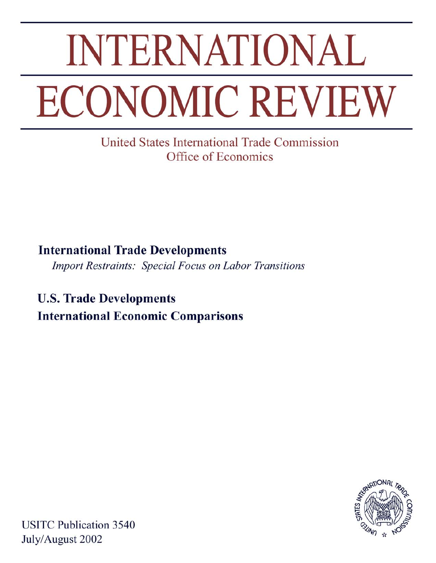# **INTERNATIONAL ECONOMIC REVIEW**

United States International Trade Commission Office of Economics

**International Trade Developments Import Restraints: Special Focus on Labor Transitions** 

**U.S. Trade Developments International Economic Comparisons** 



**USITC Publication 3540** July/August 2002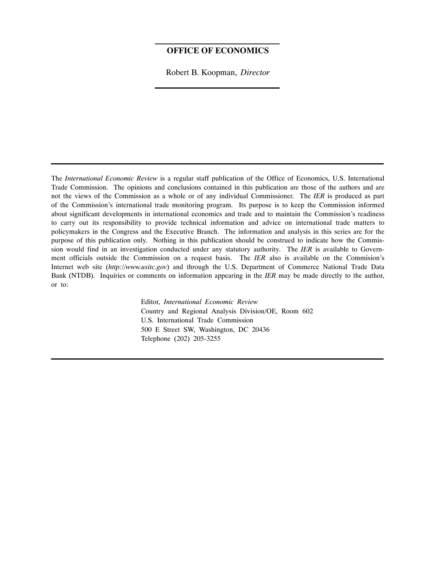#### **OFFICE OF ECONOMICS**

Robert B. Koopman, *Director*

The *International Economic Review* is a regular staff publication of the Office of Economics, U.S. International Trade Commission. The opinions and conclusions contained in this publication are those of the authors and are not the views of the Commission as a whole or of any individual Commissioner. The *IER* is produced as part of the Commission's international trade monitoring program. Its purpose is to keep the Commission informed about significant developments in international economics and trade and to maintain the Commission's readiness to carry out its responsibility to provide technical information and advice on international trade matters to policymakers in the Congress and the Executive Branch. The information and analysis in this series are for the purpose of this publication only. Nothing in this publication should be construed to indicate how the Commission would find in an investigation conducted under any statutory authority. The *IER* is available to Government officials outside the Commission on a request basis. The *IER* also is available on the Commision's Internet web site (*http://www.usitc.gov*) and through the U.S. Department of Commerce National Trade Data Bank (NTDB). Inquiries or comments on information appearing in the *IER* may be made directly to the author, or to:

> Editor, *International Economic Review* Country and Regional Analysis Division/OE, Room 602 U.S. International Trade Commission 500 E Street SW, Washington, DC 20436 Telephone (202) 205-3255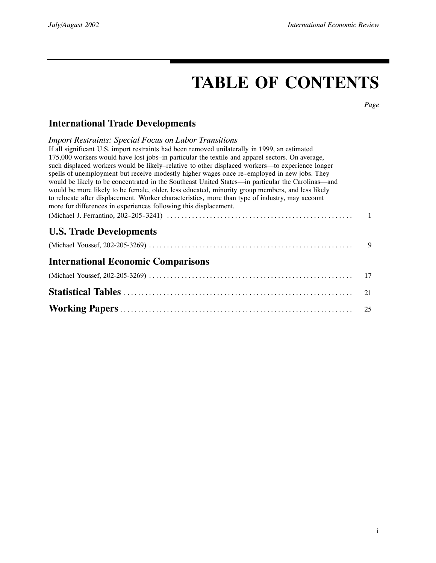# **TABLE OF CONTENTS**

*Page*

## **International Trade Developments**

| <b>Import Restraints: Special Focus on Labor Transitions</b><br>If all significant U.S. import restraints had been removed unilaterally in 1999, an estimated<br>175,000 workers would have lost jobs-in particular the textile and apparel sectors. On average,<br>such displaced workers would be likely–relative to other displaced workers—to experience longer<br>spells of unemployment but receive modestly higher wages once re-employed in new jobs. They<br>would be likely to be concentrated in the Southeast United States-in particular the Carolinas-and<br>would be more likely to be female, older, less educated, minority group members, and less likely<br>to relocate after displacement. Worker characteristics, more than type of industry, may account<br>more for differences in experiences following this displacement. |    |
|----------------------------------------------------------------------------------------------------------------------------------------------------------------------------------------------------------------------------------------------------------------------------------------------------------------------------------------------------------------------------------------------------------------------------------------------------------------------------------------------------------------------------------------------------------------------------------------------------------------------------------------------------------------------------------------------------------------------------------------------------------------------------------------------------------------------------------------------------|----|
|                                                                                                                                                                                                                                                                                                                                                                                                                                                                                                                                                                                                                                                                                                                                                                                                                                                    |    |
| <b>U.S. Trade Developments</b>                                                                                                                                                                                                                                                                                                                                                                                                                                                                                                                                                                                                                                                                                                                                                                                                                     |    |
|                                                                                                                                                                                                                                                                                                                                                                                                                                                                                                                                                                                                                                                                                                                                                                                                                                                    | 9  |
| <b>International Economic Comparisons</b>                                                                                                                                                                                                                                                                                                                                                                                                                                                                                                                                                                                                                                                                                                                                                                                                          |    |
|                                                                                                                                                                                                                                                                                                                                                                                                                                                                                                                                                                                                                                                                                                                                                                                                                                                    | 17 |
|                                                                                                                                                                                                                                                                                                                                                                                                                                                                                                                                                                                                                                                                                                                                                                                                                                                    | 21 |
|                                                                                                                                                                                                                                                                                                                                                                                                                                                                                                                                                                                                                                                                                                                                                                                                                                                    | 25 |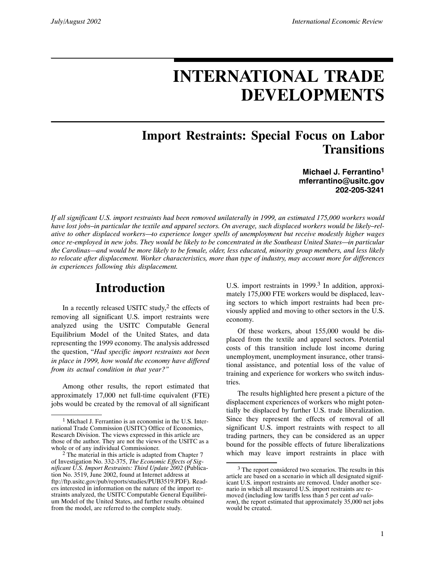# **INTERNATIONAL TRADE DEVELOPMENTS**

## **Import Restraints: Special Focus on Labor Transitions**

**Michael J. Ferrantino1 mferrantino@usitc.gov 202-205-3241**

*If all significant U.S. import restraints had been removed unilaterally in 1999, an estimated 175,000 workers would* have lost jobs-in particular the textile and apparel sectors. On average, such displaced workers would be likely-rel*ative to other displaced workers—to experience longer spells of unemployment but receive modestly higher wages once re-employed in new jobs. They would be likely to be concentrated in the Southeast United States—in particular the Carolinas—and would be more likely to be female, older, less educated, minority group members, and less likely to relocate after displacement. Worker characteristics, more than type of industry, may account more for differences in experiences following this displacement.*

## **Introduction**

In a recently released USITC study,<sup>2</sup> the effects of removing all significant U.S. import restraints were analyzed using the USITC Computable General Equilibrium Model of the United States, and data representing the 1999 economy. The analysis addressed the question, "*Had specific import restraints not been in place in 1999, how would the economy have differed from its actual condition in that year?"*

Among other results, the report estimated that approximately 17,000 net full-time equivalent (FTE) jobs would be created by the removal of all significant

U.S. import restraints in 1999.<sup>3</sup> In addition, approximately 175,000 FTE workers would be displaced, leaving sectors to which import restraints had been previously applied and moving to other sectors in the U.S. economy.

Of these workers, about 155,000 would be displaced from the textile and apparel sectors. Potential costs of this transition include lost income during unemployment, unemployment insurance, other transitional assistance, and potential loss of the value of training and experience for workers who switch industries.

The results highlighted here present a picture of the displacement experiences of workers who might potentially be displaced by further U.S. trade liberalization. Since they represent the effects of removal of all significant U.S. import restraints with respect to all trading partners, they can be considered as an upper bound for the possible effects of future liberalizations which may leave import restraints in place with

<sup>1</sup> Michael J. Ferrantino is an economist in the U.S. International Trade Commission (USITC) Office of Economics, Research Division. The views expressed in this article are those of the author. They are not the views of the USITC as a whole or of any individual Commissioner.<br><sup>2</sup> The material in this article is adapted from Chapter 7

of Investigation No. 332-375, *The Economic Effects of Significant U.S. Import Restraints: Third Update 2002* (Publication No. 3519, June 2002, found at Internet address at ftp://ftp.usitc.gov/pub/reports/studies/PUB3519.PDF). Readers interested in information on the nature of the import restraints analyzed, the USITC Computable General Equilibrium Model of the United States, and further results obtained from the model, are referred to the complete study.

<sup>&</sup>lt;sup>3</sup> The report considered two scenarios. The results in this article are based on a scenario in which all designated significant U.S. import restraints are removed. Under another scenario in which all measured U.S. import restraints are removed (including low tariffs less than 5 per cent *ad valorem*), the report estimated that approximately 35,000 net jobs would be created.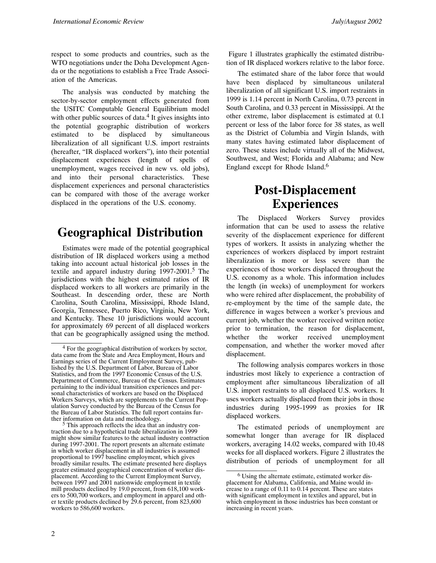respect to some products and countries, such as the WTO negotiations under the Doha Development Agenda or the negotiations to establish a Free Trade Association of the Americas.

The analysis was conducted by matching the sector-by-sector employment effects generated from the USITC Computable General Equilibrium model with other public sources of data. $4$  It gives insights into the potential geographic distribution of workers estimated to be displaced by simultaneous liberalization of all significant U.S. import restraints (hereafter, "IR displaced workers"), into their potential displacement experiences (length of spells of unemployment, wages received in new vs. old jobs), and into their personal characteristics. These displacement experiences and personal characteristics can be compared with those of the average worker displaced in the operations of the U.S. economy.

## **Geographical Distribution**

Estimates were made of the potential geographical distribution of IR displaced workers using a method taking into account actual historical job losses in the textile and apparel industry during 1997-2001.<sup>5</sup> The jurisdictions with the highest estimated ratios of IR displaced workers to all workers are primarily in the Southeast. In descending order, these are North Carolina, South Carolina, Mississippi, Rhode Island, Georgia, Tennessee, Puerto Rico, Virginia, New York, and Kentucky. These 10 jurisdictions would account for approximately 69 percent of all displaced workers that can be geographically assigned using the method.

 $5$  This approach reflects the idea that an industry contraction due to a hypothetical trade liberalization in 1999 might show similar features to the actual industry contraction during 1997-2001. The report presents an alternate estimate in which worker displacement in all industries is assumed proportional to 1997 baseline employment, which gives broadly similar results. The estimate presented here displays greater estimated geographical concentration of worker displacement. According to the Current Employment Survey, between 1997 and 2001 nationwide employment in textile mill products declined by 19.0 percent, from 618,100 workers to 500,700 workers, and employment in apparel and other textile products declined by 29.6 percent, from 823,600 workers to 586,600 workers.

Figure 1 illustrates graphically the estimated distribution of IR displaced workers relative to the labor force.

The estimated share of the labor force that would have been displaced by simultaneous unilateral liberalization of all significant U.S. import restraints in 1999 is 1.14 percent in North Carolina, 0.73 percent in South Carolina, and 0.33 percent in Mississippi. At the other extreme, labor displacement is estimated at 0.1 percent or less of the labor force for 38 states, as well as the District of Columbia and Virgin Islands, with many states having estimated labor displacement of zero. These states include virtually all of the Midwest, Southwest, and West; Florida and Alabama; and New England except for Rhode Island.6

## **Post-Displacement Experiences**

The Displaced Workers Survey provides information that can be used to assess the relative severity of the displacement experience for different types of workers. It assists in analyzing whether the experiences of workers displaced by import restraint liberalization is more or less severe than the experiences of those workers displaced throughout the U.S. economy as a whole. This information includes the length (in weeks) of unemployment for workers who were rehired after displacement, the probability of re-employment by the time of the sample date, the difference in wages between a worker's previous and current job, whether the worker received written notice prior to termination, the reason for displacement, whether the worker received unemployment compensation, and whether the worker moved after displacement.

The following analysis compares workers in those industries most likely to experience a contraction of employment after simultaneous liberalization of all U.S. import restraints to all displaced U.S. workers. It uses workers actually displaced from their jobs in those industries during 1995-1999 as proxies for IR displaced workers.

The estimated periods of unemployment are somewhat longer than average for IR displaced workers, averaging 14.02 weeks, compared with 10.48 weeks for all displaced workers. Figure 2 illustrates the distribution of periods of unemployment for all

<sup>4</sup> For the geographical distribution of workers by sector, data came from the State and Area Employment, Hours and Earnings series of the Current Employment Survey, published by the U.S. Department of Labor, Bureau of Labor Statistics, and from the 1997 Economic Census of the U.S. Department of Commerce, Bureau of the Census. Estimates pertaining to the individual transition experiences and personal characteristics of workers are based on the Displaced Workers Surveys, which are supplements to the Current Population Survey conducted by the Bureau of the Census for the Bureau of Labor Statistics. The full report contains fur-<br>ther information on data and methodology.

<sup>6</sup> Using the alternate estimate, estimated worker displacement for Alabama, California, and Maine would increase to a range of 0.11 to 0.14 percent. These are states with significant employment in textiles and apparel, but in which employment in those industries has been constant or increasing in recent years.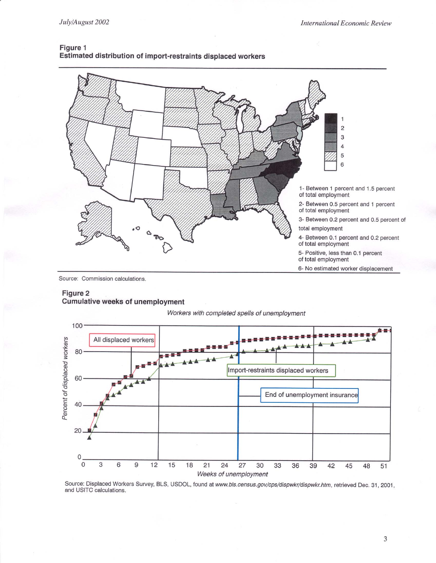

#### Figure 1 Estimated distribution of import-restraints displaced workers

Source: Commission calculations.

#### Figure 2 **Cumulative weeks of unemployment**





Source: Displaced Workers Survey, BLS, USDOL, found at www.bls.census.gov/cps/dispwkr/dispwkr.htm, retrieved Dec. 31, 2001, and USITC calculations.

3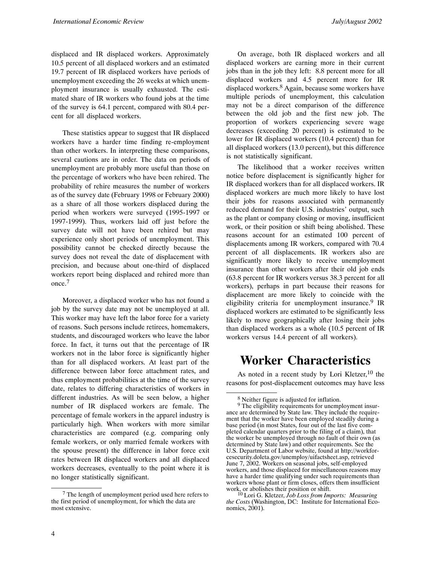displaced and IR displaced workers. Approximately 10.5 percent of all displaced workers and an estimated 19.7 percent of IR displaced workers have periods of unemployment exceeding the 26 weeks at which unemployment insurance is usually exhausted. The estimated share of IR workers who found jobs at the time of the survey is 64.1 percent, compared with 80.4 percent for all displaced workers.

These statistics appear to suggest that IR displaced workers have a harder time finding re-employment than other workers. In interpreting these comparisons, several cautions are in order. The data on periods of unemployment are probably more useful than those on the percentage of workers who have been rehired. The probability of rehire measures the number of workers as of the survey date (February 1998 or February 2000) as a share of all those workers displaced during the period when workers were surveyed (1995-1997 or 1997-1999). Thus, workers laid off just before the survey date will not have been rehired but may experience only short periods of unemployment. This possibility cannot be checked directly because the survey does not reveal the date of displacement with precision, and because about one-third of displaced workers report being displaced and rehired more than once.<sup>7</sup>

Moreover, a displaced worker who has not found a job by the survey date may not be unemployed at all. This worker may have left the labor force for a variety of reasons. Such persons include retirees, homemakers, students, and discouraged workers who leave the labor force. In fact, it turns out that the percentage of IR workers not in the labor force is significantly higher than for all displaced workers. At least part of the difference between labor force attachment rates, and thus employment probabilities at the time of the survey date, relates to differing characteristics of workers in different industries. As will be seen below, a higher number of IR displaced workers are female. The percentage of female workers in the apparel industry is particularly high. When workers with more similar characteristics are compared (e.g. comparing only female workers, or only married female workers with the spouse present) the difference in labor force exit rates between IR displaced workers and all displaced workers decreases, eventually to the point where it is no longer statistically significant.

On average, both IR displaced workers and all displaced workers are earning more in their current jobs than in the job they left: 8.8 percent more for all displaced workers and 4.5 percent more for IR displaced workers.<sup>8</sup> Again, because some workers have multiple periods of unemployment, this calculation may not be a direct comparison of the difference between the old job and the first new job. The proportion of workers experiencing severe wage decreases (exceeding 20 percent) is estimated to be lower for IR displaced workers (10.4 percent) than for all displaced workers (13.0 percent), but this difference is not statistically significant.

The likelihood that a worker receives written notice before displacement is significantly higher for IR displaced workers than for all displaced workers. IR displaced workers are much more likely to have lost their jobs for reasons associated with permanently reduced demand for their U.S. industries' output, such as the plant or company closing or moving, insufficient work, or their position or shift being abolished. These reasons account for an estimated 100 percent of displacements among IR workers, compared with 70.4 percent of all displacements. IR workers also are significantly more likely to receive unemployment insurance than other workers after their old job ends (63.8 percent for IR workers versus 38.3 percent for all workers), perhaps in part because their reasons for displacement are more likely to coincide with the eligibility criteria for unemployment insurance.<sup>9</sup> IR displaced workers are estimated to be significantly less likely to move geographically after losing their jobs than displaced workers as a whole (10.5 percent of IR workers versus 14.4 percent of all workers).

## **Worker Characteristics**

As noted in a recent study by Lori Kletzer,<sup>10</sup> the reasons for post-displacement outcomes may have less

 $7$  The length of unemployment period used here refers to the first period of unemployment, for which the data are most extensive.

<sup>8</sup> Neither figure is adjusted for inflation.

<sup>&</sup>lt;sup>9</sup> The eligibility requirements for unemployment insurance are determined by State law. They include the requirement that the worker have been employed steadily during a base period (in most States, four out of the last five completed calendar quarters prior to the filing of a claim), that the worker be unemployed through no fault of their own (as determined by State law) and other requirements. See the U.S. Department of Labor website, found at http://workforcesecurity.doleta.gov/unemploy/uifactsheet.asp, retrieved June 7, 2002. Workers on seasonal jobs, self-employed workers, and those displaced for miscellaneous reasons may have a harder time qualifying under such requirements than workers whose plant or firm closes, offers them insufficient

work, or abolishes their position or shift. <sup>10</sup> Lori G. Kletzer, *Job Loss from Imports: Measuring the Costs* (Washington, DC: Institute for International Economics, 2001).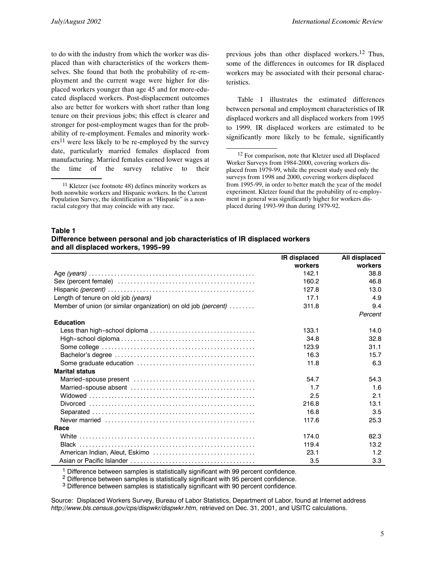to do with the industry from which the worker was displaced than with characteristics of the workers themselves. She found that both the probability of re-employment and the current wage were higher for displaced workers younger than age 45 and for more-educated displaced workers. Post-displacement outcomes also are better for workers with short rather than long tenure on their previous jobs; this effect is clearer and stronger for post-employment wages than for the probability of re-employment. Females and minority work $ers<sup>11</sup>$  were less likely to be re-employed by the survey date, particularly married females displaced from manufacturing. Married females earned lower wages at the time of the survey relative to their previous jobs than other displaced workers.12 Thus, some of the differences in outcomes for IR displaced workers may be associated with their personal characteristics.

Table 1 illustrates the estimated differences between personal and employment characteristics of IR displaced workers and all displaced workers from 1995 to 1999. IR displaced workers are estimated to be significantly more likely to be female, significantly

#### **Table 1**

| Difference between personal and job characteristics of IR displaced workers |  |
|-----------------------------------------------------------------------------|--|
| and all displaced workers, 1995-99                                          |  |

|                                                                | IR displaced | All displaced |
|----------------------------------------------------------------|--------------|---------------|
|                                                                | workers      | workers       |
|                                                                | 142.1        | 38.8          |
|                                                                | 160.2        | 46.8          |
|                                                                | 127.8        | 13.0          |
| Length of tenure on old job (years)                            | 17.1         | 4.9           |
| Member of union (or similar organization) on old job (percent) | 311.8        | 9.4           |
|                                                                |              | Percent       |
| <b>Education</b>                                               |              |               |
|                                                                | 133.1        | 14.0          |
|                                                                | 34.8         | 32.8          |
|                                                                | 123.9        | 31.1          |
|                                                                | 16.3         | 15.7          |
|                                                                | 11.8         | 6.3           |
| <b>Marital status</b>                                          |              |               |
|                                                                | 54.7         | 54.3          |
|                                                                | 1.7          | 1.6           |
|                                                                | 2.5          | 2.1           |
|                                                                | 216.8        | 13.1          |
|                                                                | 16.8         | 3.5           |
|                                                                | 117.6        | 25.3          |
| Race                                                           |              |               |
|                                                                | 174.0        | 82.3          |
|                                                                | 119.4        | 13.2          |
|                                                                | 23.1         | 1.2           |
|                                                                | 3.5          | 3.3           |

<sup>1</sup> Difference between samples is statistically significant with 99 percent confidence.

<sup>2</sup> Difference between samples is statistically significant with 95 percent confidence.

<sup>3</sup> Difference between samples is statistically significant with 90 percent confidence.

Source: Displaced Workers Survey, Bureau of Labor Statistics, Department of Labor, found at Internet address *http://www.bls.census.gov/cps/dispwkr/dispwkr.htm,* retrieved on Dec. 31, 2001, and USITC calculations.

 $11$  Kletzer (see footnote 48) defines minority workers as both nonwhite workers and Hispanic workers. In the Current Population Survey, the identification as "Hispanic" is a nonracial category that may coincide with any race.

<sup>&</sup>lt;sup>12</sup> For comparison, note that Kletzer used all Displaced Worker Surveys from 1984-2000, covering workers displaced from 1979-99, while the present study used only the surveys from 1998 and 2000, covering workers displaced from 1995-99, in order to better match the year of the model experiment. Kletzer found that the probability of re-employment in general was significantly higher for workers displaced during 1993-99 than during 1979-92.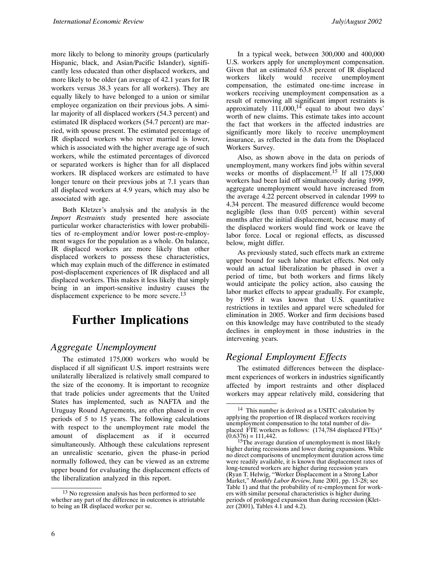more likely to belong to minority groups (particularly Hispanic, black, and Asian/Pacific Islander), significantly less educated than other displaced workers, and more likely to be older (an average of 42.1 years for IR workers versus 38.3 years for all workers). They are equally likely to have belonged to a union or similar employee organization on their previous jobs. A similar majority of all displaced workers (54.3 percent) and estimated IR displaced workers (54.7 percent) are married, with spouse present. The estimated percentage of IR displaced workers who never married is lower, which is associated with the higher average age of such workers, while the estimated percentages of divorced or separated workers is higher than for all displaced workers. IR displaced workers are estimated to have longer tenure on their previous jobs at 7.1 years than all displaced workers at 4.9 years, which may also be associated with age.

Both Kletzer's analysis and the analysis in the *Import Restraints* study presented here associate particular worker characteristics with lower probabilities of re-employment and/or lower post-re-employment wages for the population as a whole. On balance, IR displaced workers are more likely than other displaced workers to possess these characteristics, which may explain much of the difference in estimated post-displacement experiences of IR displaced and all displaced workers. This makes it less likely that simply being in an import-sensitive industry causes the displacement experience to be more severe.<sup>13</sup>

## **Further Implications**

#### *Aggregate Unemployment*

The estimated 175,000 workers who would be displaced if all significant U.S. import restraints were unilaterally liberalized is relatively small compared to the size of the economy. It is important to recognize that trade policies under agreements that the United States has implemented, such as NAFTA and the Uruguay Round Agreements, are often phased in over periods of 5 to 15 years. The following calculations with respect to the unemployment rate model the amount of displacement as if it occurred simultaneously. Although these calculations represent an unrealistic scenario, given the phase-in period normally followed, they can be viewed as an extreme upper bound for evaluating the displacement effects of the liberalization analyzed in this report.

In a typical week, between 300,000 and 400,000 U.S. workers apply for unemployment compensation. Given that an estimated 63.8 percent of IR displaced workers likely would receive unemployment compensation, the estimated one-time increase in workers receiving unemployment compensation as a result of removing all significant import restraints is approximately  $111,000$ , <sup>14</sup> equal to about two days' worth of new claims. This estimate takes into account the fact that workers in the affected industries are significantly more likely to receive unemployment insurance, as reflected in the data from the Displaced Workers Survey.

Also, as shown above in the data on periods of unemployment, many workers find jobs within several weeks or months of displacement.<sup>15</sup> If all 175,000 workers had been laid off simultaneously during 1999, aggregate unemployment would have increased from the average 4.22 percent observed in calendar 1999 to 4.34 percent. The measured difference would become negligible (less than 0.05 percent) within several months after the initial displacement, because many of the displaced workers would find work or leave the labor force. Local or regional effects, as discussed below, might differ.

As previously stated, such effects mark an extreme upper bound for such labor market effects. Not only would an actual liberalization be phased in over a period of time, but both workers and firms likely would anticipate the policy action, also causing the labor market effects to appear gradually. For example, by 1995 it was known that U.S. quantitative restrictions in textiles and apparel were scheduled for elimination in 2005. Worker and firm decisions based on this knowledge may have contributed to the steady declines in employment in those industries in the intervening years.

#### *Regional Employment Effects*

The estimated differences between the displacement experiences of workers in industries significantly affected by import restraints and other displaced workers may appear relatively mild, considering that

<sup>&</sup>lt;sup>13</sup> No regression analysis has been performed to see whether any part of the difference in outcomes is attriutable to being an IR displaced worker per se.

<sup>&</sup>lt;sup>14</sup> This number is derived as a USITC calculation by applying the proportion of IR displaced workers receiving unemployment compensation to the total number of displaced FTE workers as follows: (174,784 displaced FTEs)\*

 $(0.6376) = 111,442.$ <br><sup>15</sup>The average duration of unemployment is most likely higher during recessions and lower during expansions. While no direct comparisons of unemployment duration across time were readily available, it is known that displacement rates of long-tenured workers are higher during recession years (Ryan T. Helwig, "Worker Displacement in a Strong Labor Market," *Monthly Labor Review*, June 2001, pp. 13-28; see Table 1) and that the probability of re-employment for workers with similar personal characteristics is higher during periods of prolonged expansion than during recession (Kletzer (2001), Tables 4.1 and 4.2).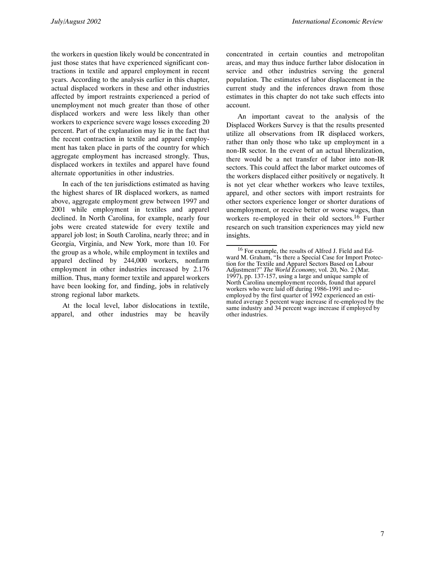the workers in question likely would be concentrated in just those states that have experienced significant contractions in textile and apparel employment in recent years. According to the analysis earlier in this chapter, actual displaced workers in these and other industries affected by import restraints experienced a period of unemployment not much greater than those of other displaced workers and were less likely than other workers to experience severe wage losses exceeding 20 percent. Part of the explanation may lie in the fact that the recent contraction in textile and apparel employment has taken place in parts of the country for which aggregate employment has increased strongly. Thus, displaced workers in textiles and apparel have found alternate opportunities in other industries.

In each of the ten jurisdictions estimated as having the highest shares of IR displaced workers, as named above, aggregate employment grew between 1997 and 2001 while employment in textiles and apparel declined. In North Carolina, for example, nearly four jobs were created statewide for every textile and apparel job lost; in South Carolina, nearly three; and in Georgia, Virginia, and New York, more than 10. For the group as a whole, while employment in textiles and apparel declined by 244,000 workers, nonfarm employment in other industries increased by 2.176 million. Thus, many former textile and apparel workers have been looking for, and finding, jobs in relatively strong regional labor markets.

At the local level, labor dislocations in textile, apparel, and other industries may be heavily

concentrated in certain counties and metropolitan areas, and may thus induce further labor dislocation in service and other industries serving the general population. The estimates of labor displacement in the current study and the inferences drawn from those estimates in this chapter do not take such effects into account.

An important caveat to the analysis of the Displaced Workers Survey is that the results presented utilize all observations from IR displaced workers, rather than only those who take up employment in a non-IR sector. In the event of an actual liberalization, there would be a net transfer of labor into non-IR sectors. This could affect the labor market outcomes of the workers displaced either positively or negatively. It is not yet clear whether workers who leave textiles, apparel, and other sectors with import restraints for other sectors experience longer or shorter durations of unemployment, or receive better or worse wages, than workers re-employed in their old sectors.<sup>16</sup> Further research on such transition experiences may yield new insights.

<sup>16</sup> For example, the results of Alfred J. Field and Edward M. Graham, "Is there a Special Case for Import Protection for the Textile and Apparel Sectors Based on Labour Adjustment?" *The World Economy*, vol. 20, No. 2 (Mar. 1997), pp. 137-157, using a large and unique sample of North Carolina unemployment records, found that apparel workers who were laid off during 1986-1991 and reemployed by the first quarter of 1992 experienced an estimated average 5 percent wage increase if re-employed by the same industry and 34 percent wage increase if employed by other industries.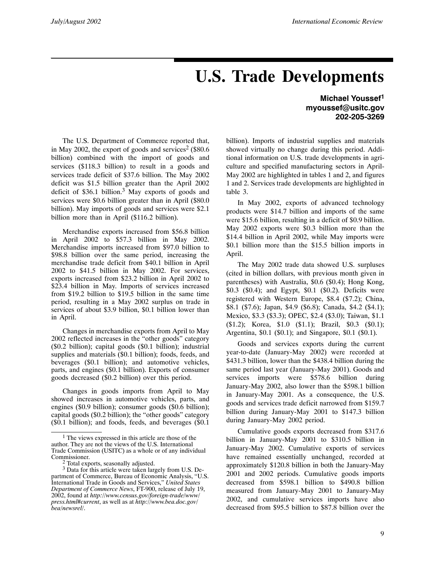# **U.S. Trade Developments**

The U.S. Department of Commerce reported that, in May 2002, the export of goods and services<sup>2</sup> (\$80.6) billion) combined with the import of goods and services (\$118.3 billion) to result in a goods and services trade deficit of \$37.6 billion. The May 2002 deficit was \$1.5 billion greater than the April 2002 deficit of  $$36.1$  billion.<sup>3</sup> May exports of goods and services were \$0.6 billion greater than in April (\$80.0 billion). May imports of goods and services were \$2.1 billion more than in April (\$116.2 billion).

Merchandise exports increased from \$56.8 billion in April 2002 to \$57.3 billion in May 2002. Merchandise imports increased from \$97.0 billion to \$98.8 billion over the same period, increasing the merchandise trade deficit from \$40.1 billion in April 2002 to \$41.5 billion in May 2002. For services, exports increased from \$23.2 billion in April 2002 to \$23.4 billion in May. Imports of services increased from \$19.2 billion to \$19.5 billion in the same time period, resulting in a May 2002 surplus on trade in services of about \$3.9 billion, \$0.1 billion lower than in April.

Changes in merchandise exports from April to May 2002 reflected increases in the "other goods" category (\$0.2 billion); capital goods (\$0.1 billion); industrial supplies and materials (\$0.1 billion); foods, feeds, and beverages (\$0.1 billion); and automotive vehicles, parts, and engines (\$0.1 billion). Exports of consumer goods decreased (\$0.2 billion) over this period.

Changes in goods imports from April to May showed increases in automotive vehicles, parts, and engines (\$0.9 billion); consumer goods (\$0.6 billion); capital goods (\$0.2 billion); the "other goods" category (\$0.1 billion); and foods, feeds, and beverages (\$0.1

**Michael Youssef1 myoussef@usitc.gov 202-205-3269**

billion). Imports of industrial supplies and materials showed virtually no change during this period. Additional information on U.S. trade developments in agriculture and specified manufacturing sectors in April-May 2002 are highlighted in tables 1 and 2, and figures 1 and 2. Services trade developments are highlighted in table 3.

In May 2002, exports of advanced technology products were \$14.7 billion and imports of the same were \$15.6 billion, resulting in a deficit of \$0.9 billion. May 2002 exports were \$0.3 billion more than the \$14.4 billion in April 2002, while May imports were \$0.1 billion more than the \$15.5 billion imports in April.

The May 2002 trade data showed U.S. surpluses (cited in billion dollars, with previous month given in parentheses) with Australia, \$0.6 (\$0.4); Hong Kong, \$0.3 (\$0.4); and Egypt, \$0.1 (\$0.2). Deficits were registered with Western Europe, \$8.4 (\$7.2); China, \$8.1 (\$7.6); Japan, \$4.9 (\$6.8); Canada, \$4.2 (\$4.1); Mexico, \$3.3 (\$3.3); OPEC, \$2.4 (\$3.0); Taiwan, \$1.1 (\$1.2); Korea, \$1.0 (\$1.1); Brazil, \$0.3 (\$0.1); Argentina, \$0.1 (\$0.1); and Singapore, \$0.1 (\$0.1).

Goods and services exports during the current year-to-date (January-May 2002) were recorded at \$431.3 billion, lower than the \$438.4 billion during the same period last year (January-May 2001). Goods and services imports were \$578.6 billion during January-May 2002, also lower than the \$598.1 billion in January-May 2001. As a consequence, the U.S. goods and services trade deficit narrowed from \$159.7 billion during January-May 2001 to \$147.3 billion during January-May 2002 period.

Cumulative goods exports decreased from \$317.6 billion in January-May 2001 to \$310.5 billion in January-May 2002. Cumulative exports of services have remained essentially unchanged, recorded at approximately \$120.8 billion in both the January-May 2001 and 2002 periods. Cumulative goods imports decreased from \$598.1 billion to \$490.8 billion measured from January-May 2001 to January-May 2002, and cumulative services imports have also decreased from \$95.5 billion to \$87.8 billion over the

<sup>&</sup>lt;sup>1</sup> The views expressed in this article are those of the author. They are not the views of the U.S. International Trade Commission (USITC) as a whole or of any individual Commissioner.

<sup>&</sup>lt;sup>2</sup> Total exports, seasonally adjusted.

 $3$  Data for this article were taken largely from U.S. Department of Commerce, Bureau of Economic Analysis, "U.S. International Trade in Goods and Services," *United States Department of Commerce News*, FT-900, release of July 19, 2002, found at *http://www.census.gov/foreign-trade/www/ press.html#current*, as well as at *http://www.bea.doc.gov/ bea/newsrel/*.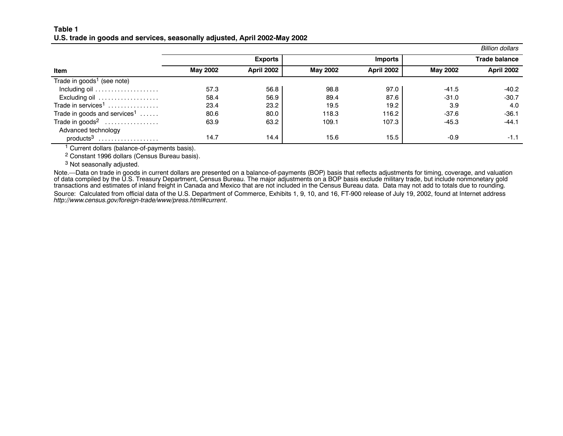#### **Table 1U.S. trade in goods and services, seasonally adjusted, April 2002-May 2002**

|                                          |                 |                   |          |                   |                 | Billion dollars      |
|------------------------------------------|-----------------|-------------------|----------|-------------------|-----------------|----------------------|
|                                          |                 | <b>Exports</b>    |          | <b>Imports</b>    |                 | <b>Trade balance</b> |
| Item                                     | <b>May 2002</b> | <b>April 2002</b> | May 2002 | <b>April 2002</b> | <b>May 2002</b> | <b>April 2002</b>    |
| Trade in goods <sup>1</sup> (see note)   |                 |                   |          |                   |                 |                      |
|                                          | 57.3            | 56.8              | 98.8     | 97.0              | $-41.5$         | $-40.2$              |
| Excluding oil                            | 58.4            | 56.9              | 89.4     | 87.6              | $-31.0$         | $-30.7$              |
| Trade in services <sup>1</sup>           | 23.4            | 23.2              | 19.5     | 19.2              | 3.9             | 4.0                  |
| Trade in goods and services <sup>1</sup> | 80.6            | 80.0              | 118.3    | 116.2             | $-37.6$         | $-36.1$              |
| Trade in goods <sup>2</sup>              | 63.9            | 63.2              | 109.1    | 107.3             | $-45.3$         | $-44.1$              |
| Advanced technology                      |                 |                   |          |                   |                 |                      |
| $products3$                              | 14.7            | 14.4              | 15.6     | 15.5              | $-0.9$          | $-1.1$               |

1 Current dollars (balance-of-payments basis).

2 Constant 1996 dollars (Census Bureau basis).

<sup>3</sup> Not seasonally adjusted.

Note.—Data on trade in goods in current dollars are presented on <sup>a</sup> balance-of-payments (BOP) basis that reflects adjustments for timing, coverage, and valuation of data compiled by the U.S. Treasury Department, Census Bureau. The major adjustments on <sup>a</sup> BOP basis exclude military trade, but include nonmonetary gold transactions and estimates of inland freight in Canada and Mexico that are not included in the Census Bureau data. Data may not add to totals due to rounding. Source: Calculated from official data of the U.S. Department of Commerce, Exhibits 1, 9, 10, and 16, FT-900 release of July 19, 2002, found at Internet address *http://www.census.gov/foreign-trade/www/press.html#current*.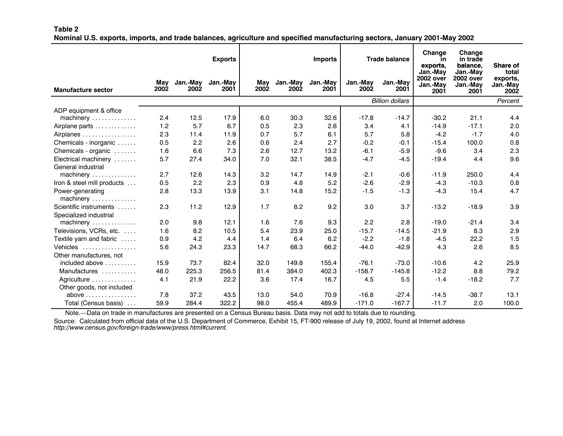#### **Table 2**

Nominal U.S. exports, imports, and trade balances, agriculture and specified manufacturing sectors, January 2001-May 2002

|                                        |             |                         | <b>Exports</b>   | <b>Imports</b> |                         |                  | <b>Trade balance</b> |                        | Change<br>in<br>exports,<br>Jan.-May | Change<br>in trade<br>balance.<br>Jan.-Mav | <b>Share of</b><br>total     |
|----------------------------------------|-------------|-------------------------|------------------|----------------|-------------------------|------------------|----------------------|------------------------|--------------------------------------|--------------------------------------------|------------------------------|
| <b>Manufacture sector</b>              | May<br>2002 | Jan.-May<br><b>2002</b> | Jan.-May<br>2001 | May<br>2002    | Jan.-May<br><b>2002</b> | Jan.-May<br>2001 | Jan.-May<br>2002     | Jan.-May<br>2001       | <b>2002 over</b><br>Jan.-May<br>2001 | <b>2002 over</b><br>Jan.-May<br>2001       | exports,<br>Jan.-May<br>2002 |
|                                        |             |                         |                  |                |                         |                  |                      | <b>Billion dollars</b> |                                      |                                            | Percent                      |
| ADP equipment & office<br>machinery    | 2.4         | 12.5                    | 17.9             | 6.0            | 30.3                    | 32.6             | $-17.8$              | $-14.7$                | $-30.2$                              | 21.1                                       | 4.4                          |
| Airplane parts                         | 1.2         | 5.7                     | 6.7              | 0.5            | 2.3                     | 2.6              | 3.4                  | 4.1                    | $-14.9$                              | $-17.1$                                    | 2.0                          |
| Airplanes                              | 2.3         | 11.4                    | 11.9             | 0.7            | 5.7                     | 6.1              | 5.7                  | 5.8                    | $-4.2$                               | $-1.7$                                     | 4.0                          |
| Chemicals - inorganic                  | 0.5         | 2.2                     | 2.6              | 0.6            | 2.4                     | 2.7              | $-0.2$               | $-0.1$                 | $-15.4$                              | 100.0                                      | 0.8                          |
| Chemicals - organic                    | 1.6         | 6.6                     | 7.3              | 2.6            | 12.7                    | 13.2             | $-6.1$               | $-5.9$                 | $-9.6$                               | 3.4                                        | 2.3                          |
| Electrical machinery                   | 5.7         | 27.4                    | 34.0             | 7.0            | 32.1                    | 38.5             | $-4.7$               | $-4.5$                 | $-19.4$                              | 4.4                                        | 9.6                          |
| General industrial                     |             |                         |                  |                |                         |                  |                      |                        |                                      |                                            |                              |
| machinery                              | 2.7         | 12.6                    | 14.3             | 3.2            | 14.7                    | 14.9             | $-2.1$               | $-0.6$                 | $-11.9$                              | 250.0                                      | 4.4                          |
| Iron & steel mill products             | 0.5         | 2.2                     | 2.3              | 0.9            | 4.8                     | 5.2              | $-2.6$               | $-2.9$                 | $-4.3$                               | $-10.3$                                    | 0.8                          |
| Power-generating<br>machinery          | 2.8         | 13.3                    | 13.9             | 3.1            | 14.8                    | 15.2             | $-1.5$               | $-1.3$                 | $-4.3$                               | 15.4                                       | 4.7                          |
| Scientific instruments                 | 2.3         | 11.2                    | 12.9             | 1.7            | 8.2                     | 9.2              | 3.0                  | 3.7                    | $-13.2$                              | $-18.9$                                    | 3.9                          |
| Specialized industrial                 |             |                         |                  |                |                         |                  |                      |                        |                                      |                                            |                              |
| machinery                              | 2.0         | 9.8                     | 12.1             | 1.6            | 7.6                     | 9.3              | 2.2                  | 2.8                    | $-19.0$                              | $-21.4$                                    | 3.4                          |
| Televisions, VCRs, etc.                | 1.6         | 8.2                     | 10.5             | 5.4            | 23.9                    | 25.0             | $-15.7$              | $-14.5$                | $-21.9$                              | 8.3                                        | 2.9                          |
| Textile yarn and fabric                | 0.9         | 4.2                     | 4.4              | 1.4            | 6.4                     | 6.2              | $-2.2$               | $-1.8$                 | $-4.5$                               | 22.2                                       | 1.5                          |
| Vehicles                               | 5.6         | 24.3                    | 23.3             | 14.7           | 68.3                    | 66.2             | $-44.0$              | $-42.9$                | 4.3                                  | 2.6                                        | 8.5                          |
| Other manufactures, not                |             |                         |                  |                |                         |                  |                      |                        |                                      |                                            |                              |
| included above $\ldots$ , $\ldots$     | 15.9        | 73.7                    | 82.4             | 32.0           | 149.8                   | 155.4            | $-76.1$              | $-73.0$                | $-10.6$                              | 4.2                                        | 25.9                         |
| Manufactures                           | 48.0        | 225.3                   | 256.5            | 81.4           | 384.0                   | 402.3            | $-158.7$             | $-145.8$               | $-12.2$                              | 8.8                                        | 79.2                         |
| Agriculture                            | 4.1         | 21.9                    | 22.2             | 3.6            | 17.4                    | 16.7             | 4.5                  | 5.5                    | $-1.4$                               | $-18.2$                                    | 7.7                          |
| Other goods, not included              |             |                         |                  |                |                         |                  |                      |                        |                                      |                                            |                              |
| above $\dots\dots\dots\dots\dots\dots$ | 7.8         | 37.2                    | 43.5             | 13.0           | 54.0                    | 70.9             | $-16.8$              | $-27.4$                | $-14.5$                              | $-38.7$                                    | 13.1                         |
| Total (Census basis)                   | 59.9        | 284.4                   | 322.2            | 98.0           | 455.4                   | 489.9            | $-171.0$             | $-167.7$               | $-11.7$                              | 2.0                                        | 100.0                        |

Note.—Data on trade in manufactures are presented on <sup>a</sup> Census Bureau basis. Data may not add to totals due to rounding.

Source: Calculated from official data of the U.S. Department of Commerce, Exhibit 15, FT-900 release of July 19, 2002, found at Internet address *http://www.census.gov/foreign-trade/www/press.html#current.*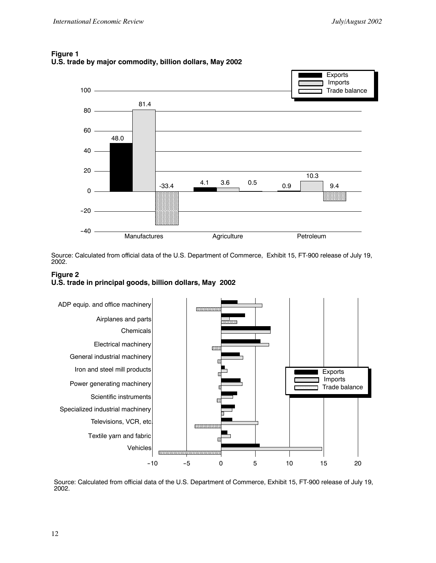

#### **Figure 1 U.S. trade by major commodity, billion dollars, May 2002**

Source: Calculated from official data of the U.S. Department of Commerce, Exhibit 15, FT-900 release of July 19, 2002.





Source: Calculated from official data of the U.S. Department of Commerce, Exhibit 15, FT-900 release of July 19, 2002.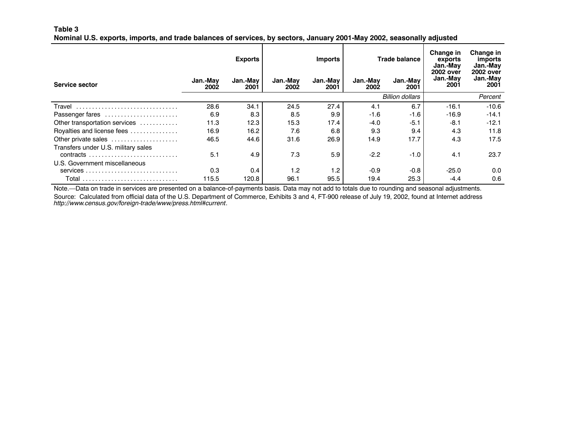#### **Table 3**

Nominal U.S. exports, imports, and trade balances of services, by sectors, January 2001-May 2002, seasonally adjusted

|                                     |                  | <b>Exports</b>   |                  | <b>Imports</b>   |                  | <b>Trade balance</b>   | <b>Change in</b><br>exports<br>Jan.-May<br>2002 over | Change in<br>imports<br>Jan.-May<br>2002 over |
|-------------------------------------|------------------|------------------|------------------|------------------|------------------|------------------------|------------------------------------------------------|-----------------------------------------------|
| Service sector                      | Jan.-May<br>2002 | Jan.-May<br>2001 | Jan.-Mav<br>2002 | Jan.-May<br>2001 | Jan.-Mav<br>2002 | Jan.-May<br>2001       | Jan.-May<br>2001                                     | Jan.-May<br>2001                              |
|                                     |                  |                  |                  |                  |                  | <b>Billion dollars</b> |                                                      | Percent                                       |
| Travel                              | 28.6             | 34.1             | 24.5             | 27.4             | 4.1              | 6.7                    | $-16.1$                                              | $-10.6$                                       |
| Passenger fares                     | 6.9              | 8.3              | 8.5              | 9.9              | $-1.6$           | $-1.6$                 | $-16.9$                                              | $-14.1$                                       |
| Other transportation services       | 11.3             | 12.3             | 15.3             | 17.4             | $-4.0$           | $-5.1$                 | $-8.1$                                               | $-12.1$                                       |
| Royalties and license fees          | 16.9             | 16.2             | 7.6              | 6.8              | 9.3              | 9.4                    | 4.3                                                  | 11.8                                          |
| Other private sales                 | 46.5             | 44.6             | 31.6             | 26.9             | 14.9             | 17.7                   | 4.3                                                  | 17.5                                          |
| Transfers under U.S. military sales |                  |                  |                  |                  |                  |                        |                                                      |                                               |
|                                     | 5.1              | 4.9              | 7.3              | 5.9              | $-2.2$           | $-1.0$                 | 4.1                                                  | 23.7                                          |
| U.S. Government miscellaneous       |                  |                  |                  |                  |                  |                        |                                                      |                                               |
|                                     | 0.3              | 0.4              | 1.2              | 1.2              | $-0.9$           | $-0.8$                 | $-25.0$                                              | 0.0                                           |
|                                     | 115.5            | 120.8            | 96.1             | 95.5             | 19.4             | 25.3                   | $-4.4$                                               | 0.6                                           |

Note.—Data on trade in services are presented on <sup>a</sup> balance-of-payments basis. Data may not add to totals due to rounding and seasonal adjustments. Source: Calculated from official data of the U.S. Department of Commerce, Exhibits 3 and 4, FT-900 release of July 19, 2002, found at Internet address *http://www.census.gov/foreign-trade/www/press.html#current*.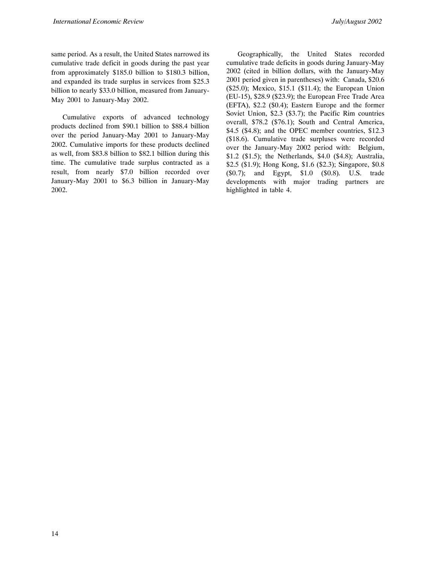same period. As a result, the United States narrowed its cumulative trade deficit in goods during the past year from approximately \$185.0 billion to \$180.3 billion, and expanded its trade surplus in services from \$25.3 billion to nearly \$33.0 billion, measured from January-May 2001 to January-May 2002.

Cumulative exports of advanced technology products declined from \$90.1 billion to \$88.4 billion over the period January-May 2001 to January-May 2002. Cumulative imports for these products declined as well, from \$83.8 billion to \$82.1 billion during this time. The cumulative trade surplus contracted as a result, from nearly \$7.0 billion recorded over January-May 2001 to \$6.3 billion in January-May 2002.

Geographically, the United States recorded cumulative trade deficits in goods during January-May 2002 (cited in billion dollars, with the January-May 2001 period given in parentheses) with: Canada, \$20.6 (\$25.0); Mexico, \$15.1 (\$11.4); the European Union (EU-15), \$28.9 (\$23.9); the European Free Trade Area (EFTA), \$2.2 (\$0.4); Eastern Europe and the former Soviet Union, \$2.3 (\$3.7); the Pacific Rim countries overall, \$78.2 (\$76.1); South and Central America, \$4.5 (\$4.8); and the OPEC member countries, \$12.3 (\$18.6). Cumulative trade surpluses were recorded over the January-May 2002 period with: Belgium, \$1.2 (\$1.5); the Netherlands, \$4.0 (\$4.8); Australia, \$2.5 (\$1.9); Hong Kong, \$1.6 (\$2.3); Singapore, \$0.8 (\$0.7); and Egypt, \$1.0 (\$0.8). U.S. trade developments with major trading partners are highlighted in table 4.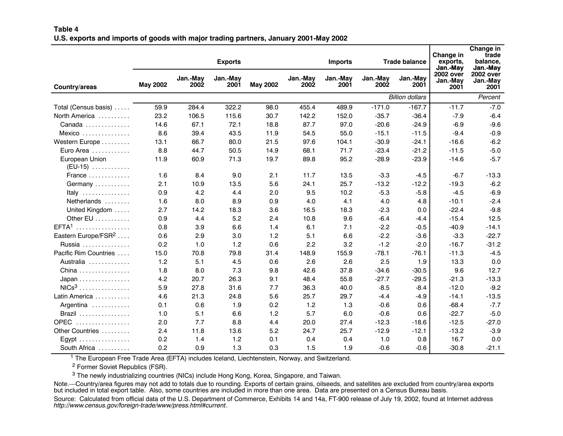#### **Table 4**U.S. exports and imports of goods with major trading partners, January 2001-May 2002

|                                       |                 |                  | <b>Exports</b>   |                 |                  | <b>Trade balance</b><br><b>Imports</b> |                         |                        |                                                  | Change in<br>trade<br>balance,<br>Jan.-May |  |  |
|---------------------------------------|-----------------|------------------|------------------|-----------------|------------------|----------------------------------------|-------------------------|------------------------|--------------------------------------------------|--------------------------------------------|--|--|
| Country/areas                         | <b>May 2002</b> | Jan.-May<br>2002 | Jan.-May<br>2001 | <b>May 2002</b> | Jan.-May<br>2002 | Jan.-May<br>2001                       | Jan.-May<br><b>2002</b> | Jan.-May<br>2001       | Jan.-May<br><b>2002 over</b><br>Jan.-May<br>2001 | <b>2002 over</b><br>Jan.-May<br>2001       |  |  |
|                                       |                 |                  |                  |                 |                  |                                        |                         | <b>Billion dollars</b> | Percent                                          |                                            |  |  |
| Total (Census basis)                  | 59.9            | 284.4            | 322.2            | 98.0            | 455.4            | 489.9                                  | $-171.0$                | $-167.7$               | $-11.7$                                          | $-7.0$                                     |  |  |
| North America                         | 23.2            | 106.5            | 115.6            | 30.7            | 142.2            | 152.0                                  | $-35.7$                 | $-36.4$                | $-7.9$                                           | $-6.4$                                     |  |  |
| Canada                                | 14.6            | 67.1             | 72.1             | 18.8            | 87.7             | 97.0                                   | $-20.6$                 | $-24.9$                | $-6.9$                                           | $-9.6$                                     |  |  |
| Mexico                                | 8.6             | 39.4             | 43.5             | 11.9            | 54.5             | 55.0                                   | $-15.1$                 | $-11.5$                | $-9.4$                                           | $-0.9$                                     |  |  |
| Western Europe                        | 13.1            | 66.7             | 80.0             | 21.5            | 97.6             | 104.1                                  | $-30.9$                 | $-24.1$                | $-16.6$                                          | $-6.2$                                     |  |  |
| Euro Area                             | 8.8             | 44.7             | 50.5             | 14.9            | 68.1             | 71.7                                   | $-23.4$                 | $-21.2$                | $-11.5$                                          | $-5.0$                                     |  |  |
| European Union<br>$(EU-15)$           | 11.9            | 60.9             | 71.3             | 19.7            | 89.8             | 95.2                                   | $-28.9$                 | $-23.9$                | $-14.6$                                          | $-5.7$                                     |  |  |
| France                                | 1.6             | 8.4              | 9.0              | 2.1             | 11.7             | 13.5                                   | $-3.3$                  | $-4.5$                 | $-6.7$                                           | $-13.3$                                    |  |  |
| Germany                               | 2.1             | 10.9             | 13.5             | 5.6             | 24.1             | 25.7                                   | $-13.2$                 | $-12.2$                | $-19.3$                                          | $-6.2$                                     |  |  |
| Italy                                 | 0.9             | 4.2              | 4.4              | 2.0             | 9.5              | 10.2                                   | $-5.3$                  | $-5.8$                 | $-4.5$                                           | $-6.9$                                     |  |  |
| Netherlands                           | 1.6             | 8.0              | 8.9              | 0.9             | 4.0              | 4.1                                    | 4.0                     | 4.8                    | $-10.1$                                          | $-2.4$                                     |  |  |
| United Kingdom                        | 2.7             | 14.2             | 18.3             | 3.6             | 16.5             | 18.3                                   | $-2.3$                  | 0.0                    | $-22.4$                                          | $-9.8$                                     |  |  |
| Other EU                              | 0.9             | 4.4              | 5.2              | 2.4             | 10.8             | 9.6                                    | $-6.4$                  | $-4.4$                 | $-15.4$                                          | 12.5                                       |  |  |
| EFTA <sup>1</sup><br>.                | 0.8             | 3.9              | 6.6              | 1.4             | 6.1              | 7.1                                    | $-2.2$                  | $-0.5$                 | $-40.9$                                          | $-14.1$                                    |  |  |
| Eastern Europe/FSR <sup>2</sup>       | 0.6             | 2.9              | 3.0              | 1.2             | 5.1              | 6.6                                    | $-2.2$                  | $-3.6$                 | $-3.3$                                           | $-22.7$                                    |  |  |
| Russia                                | 0.2             | 1.0              | 1.2              | 0.6             | 2.2              | 3.2                                    | $-1.2$                  | $-2.0$                 | $-16.7$                                          | $-31.2$                                    |  |  |
| Pacific Rim Countries                 | 15.0            | 70.8             | 79.8             | 31.4            | 148.9            | 155.9                                  | $-78.1$                 | $-76.1$                | $-11.3$                                          | $-4.5$                                     |  |  |
| Australia                             | 1.2             | 5.1              | 4.5              | 0.6             | 2.6              | 2.6                                    | 2.5                     | 1.9                    | 13.3                                             | 0.0                                        |  |  |
| China                                 | 1.8             | 8.0              | 7.3              | 9.8             | 42.6             | 37.8                                   | $-34.6$                 | $-30.5$                | 9.6                                              | 12.7                                       |  |  |
| $Japan \dots \dots \dots \dots \dots$ | 4.2             | 20.7             | 26.3             | 9.1             | 48.4             | 55.8                                   | $-27.7$                 | $-29.5$                | $-21.3$                                          | $-13.3$                                    |  |  |
| $NICs3$                               | 5.9             | 27.8             | 31.6             | 7.7             | 36.3             | 40.0                                   | $-8.5$                  | $-8.4$                 | $-12.0$                                          | $-9.2$                                     |  |  |
| Latin America                         | 4.6             | 21.3             | 24.8             | 5.6             | 25.7             | 29.7                                   | $-4.4$                  | $-4.9$                 | $-14.1$                                          | $-13.5$                                    |  |  |
| Argentina                             | 0.1             | 0.6              | 1.9              | 0.2             | 1.2              | 1.3                                    | $-0.6$                  | 0.6                    | $-68.4$                                          | $-7.7$                                     |  |  |
| Brazil                                | 1.0             | 5.1              | 6.6              | 1.2             | 5.7              | 6.0                                    | $-0.6$                  | 0.6                    | $-22.7$                                          | $-5.0$                                     |  |  |
| <b>OPEC</b><br>.                      | 2.0             | 7.7              | 8.8              | 4.4             | 20.0             | 27.4                                   | $-12.3$                 | $-18.6$                | $-12.5$                                          | $-27.0$                                    |  |  |
| Other Countries                       | 2.4             | 11.8             | 13.6             | 5.2             | 24.7             | 25.7                                   | $-12.9$                 | $-12.1$                | $-13.2$                                          | $-3.9$                                     |  |  |
| Egypt                                 | 0.2             | 1.4              | 1.2              | 0.1             | 0.4              | 0.4                                    | 1.0                     | 0.8                    | 16.7                                             | 0.0                                        |  |  |
| South Africa                          | 0.2             | 0.9              | 1.3              | 0.3             | 1.5              | 1.9                                    | $-0.6$                  | $-0.6$                 | $-30.8$                                          | $-21.1$                                    |  |  |

1 The European Free Trade Area (EFTA) includes Iceland, Liechtenstein, Norway, and Switzerland.

<sup>2</sup> Former Soviet Republics (FSR).

 $^3$  The newly industrializing countries (NICs) include Hong Kong, Korea, Singapore, and Taiwan.

Note.—Country/area figures may not add to totals due to rounding. Exports of certain grains, oilseeds, and satellites are excluded from country/area exports but included in total export table. Also, some countries are included in more than one area. Data are presented on <sup>a</sup> Census Bureau basis.

Source: Calculated from official data of the U.S. Department of Commerce, Exhibits 14 and 14a, FT-900 release of July 19, 2002, found at Internet address *http://www.census.gov/foreign-trade/www/press.html#current*.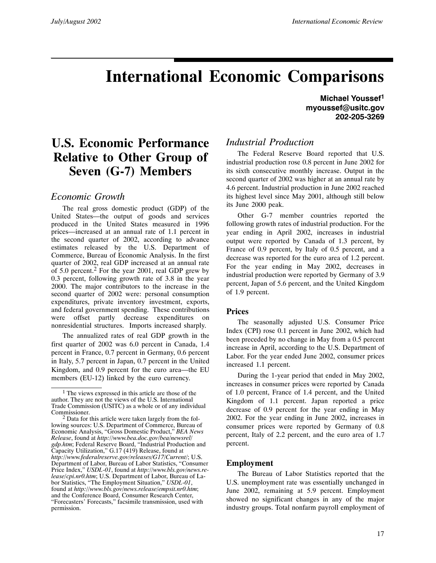## **International Economic Comparisons**

## **U.S. Economic Performance Relative to Other Group of Seven (G-7) Members**

#### *Economic Growth*

The real gross domestic product (GDP) of the United States—the output of goods and services produced in the United States measured in 1996 prices—increased at an annual rate of 1.1 percent in the second quarter of 2002, according to advance estimates released by the U.S. Department of Commerce, Bureau of Economic Analysis. In the first quarter of 2002, real GDP increased at an annual rate of 5.0 percent.<sup>2</sup> For the year 2001, real GDP grew by 0.3 percent, following growth rate of 3.8 in the year 2000. The major contributors to the increase in the second quarter of 2002 were: personal consumption expenditures, private inventory investment, exports, and federal government spending. These contributions were offset partly decrease expenditures on nonresidential structures. Imports increased sharply.

The annualized rates of real GDP growth in the first quarter of 2002 was 6.0 percent in Canada, 1.4 percent in France, 0.7 percent in Germany, 0.6 percent in Italy, 5.7 percent in Japan, 0.7 percent in the United Kingdom, and 0.9 percent for the euro area—the EU members (EU-12) linked by the euro currency.

**Michael Youssef1 myoussef@usitc.gov 202-205-3269**

### *Industrial Production*

The Federal Reserve Board reported that U.S. industrial production rose 0.8 percent in June 2002 for its sixth consecutive monthly increase. Output in the second quarter of 2002 was higher at an annual rate by 4.6 percent. Industrial production in June 2002 reached its highest level since May 2001, although still below its June 2000 peak.

Other G-7 member countries reported the following growth rates of industrial production. For the year ending in April 2002, increases in industrial output were reported by Canada of 1.3 percent, by France of 0.9 percent, by Italy of 0.5 percent, and a decrease was reported for the euro area of 1.2 percent. For the year ending in May 2002, decreases in industrial production were reported by Germany of 3.9 percent, Japan of 5.6 percent, and the United Kingdom of 1.9 percent.

#### **Prices**

The seasonally adjusted U.S. Consumer Price Index (CPI) rose 0.1 percent in June 2002, which had been preceded by no change in May from a 0.5 percent increase in April, according to the U.S. Department of Labor. For the year ended June 2002, consumer prices increased 1.1 percent.

During the 1-year period that ended in May 2002, increases in consumer prices were reported by Canada of 1.0 percent, France of 1.4 percent, and the United Kingdom of 1.1 percent. Japan reported a price decrease of 0.9 percent for the year ending in May 2002. For the year ending in June 2002, increases in consumer prices were reported by Germany of 0.8 percent, Italy of 2.2 percent, and the euro area of 1.7 percent.

#### **Employment**

The Bureau of Labor Statistics reported that the U.S. unemployment rate was essentially unchanged in June 2002, remaining at 5.9 percent. Employment showed no significant changes in any of the major industry groups. Total nonfarm payroll employment of

<sup>&</sup>lt;sup>1</sup> The views expressed in this article are those of the author. They are not the views of the U.S. International Trade Commission (USITC) as a whole or of any individual Commissioner.

<sup>2</sup> Data for this article were taken largely from the following sources: U.S. Department of Commerce, Bureau of Economic Analysis, "Gross Domestic Product," *BEA News Release*, found at *http://www.bea.doc.gov/bea/newsrel/ gdp.htm*; Federal Reserve Board, "Industrial Production and Capacity Utilization," G.17 (419) Release, found at *http://www.federalreserve.gov/releases/G17/Current/*; U.S. Department of Labor, Bureau of Labor Statistics, "Consumer Price Index," *USDL-01*, found at *http://www.bls.gov/news.release/cpi.nr0.htm*; U.S. Department of Labor, Bureau of Labor Statistics, "The Employment Situation," USDL-01, found at http://www.bls.gov/news.release/empsit.nr0.htm; and the Conference Board, Consumer Research Center, "Forecasters' Forecasts," facsimile transmission, used with permission.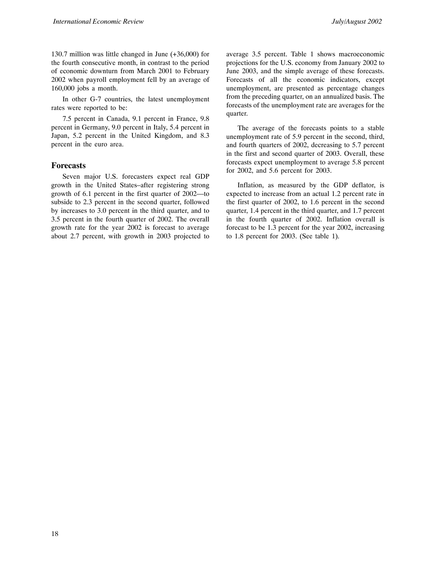130.7 million was little changed in June (+36,000) for the fourth consecutive month, in contrast to the period of economic downturn from March 2001 to February 2002 when payroll employment fell by an average of 160,000 jobs a month.

In other G-7 countries, the latest unemployment rates were reported to be:

7.5 percent in Canada, 9.1 percent in France, 9.8 percent in Germany, 9.0 percent in Italy, 5.4 percent in Japan, 5.2 percent in the United Kingdom, and 8.3 percent in the euro area.

#### **Forecasts**

Seven major U.S. forecasters expect real GDP growth in the United States–after registering strong growth of 6.1 percent in the first quarter of 2002—to subside to 2.3 percent in the second quarter, followed by increases to 3.0 percent in the third quarter, and to 3.5 percent in the fourth quarter of 2002. The overall growth rate for the year 2002 is forecast to average about 2.7 percent, with growth in 2003 projected to average 3.5 percent. Table 1 shows macroeconomic projections for the U.S. economy from January 2002 to June 2003, and the simple average of these forecasts. Forecasts of all the economic indicators, except unemployment, are presented as percentage changes from the preceding quarter, on an annualized basis. The forecasts of the unemployment rate are averages for the quarter.

The average of the forecasts points to a stable unemployment rate of 5.9 percent in the second, third, and fourth quarters of 2002, decreasing to 5.7 percent in the first and second quarter of 2003. Overall, these forecasts expect unemployment to average 5.8 percent for 2002, and 5.6 percent for 2003.

Inflation, as measured by the GDP deflator, is expected to increase from an actual 1.2 percent rate in the first quarter of 2002, to 1.6 percent in the second quarter, 1.4 percent in the third quarter, and 1.7 percent in the fourth quarter of 2002. Inflation overall is forecast to be 1.3 percent for the year 2002, increasing to 1.8 percent for 2003. (See table 1).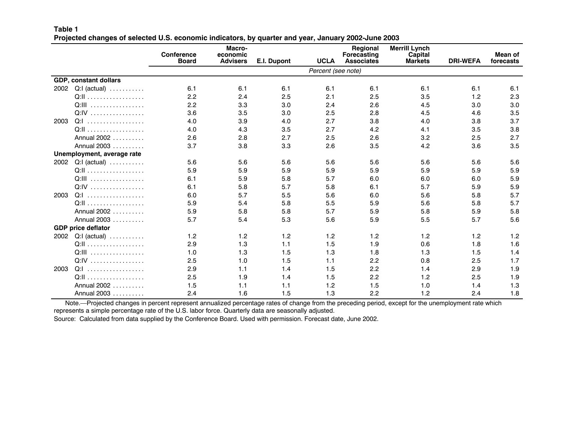#### **Table 1**Projected changes of selected U.S. economic indicators, by quarter and year, January 2002-June 2003

|      |                                        | <b>Conference</b><br><b>Board</b> | Macro-<br>economic<br><b>Advisers</b> | E.I. Dupont | <b>UCLA</b>        | Regional<br>Forecasting<br><b>Associates</b> | <b>Merrill Lynch</b><br>Capital<br><b>Markets</b> | <b>DRI-WEFA</b> | Mean of<br>forecasts |
|------|----------------------------------------|-----------------------------------|---------------------------------------|-------------|--------------------|----------------------------------------------|---------------------------------------------------|-----------------|----------------------|
|      |                                        |                                   |                                       |             | Percent (see note) |                                              |                                                   |                 |                      |
|      | <b>GDP, constant dollars</b>           |                                   |                                       |             |                    |                                              |                                                   |                 |                      |
| 2002 | $Q: I$ (actual) $\ldots \ldots \ldots$ | 6.1                               | 6.1                                   | 6.1         | 6.1                | 6.1                                          | 6.1                                               | 6.1             | 6.1                  |
|      |                                        | 2.2                               | 2.4                                   | 2.5         | 2.1                | 2.5                                          | 3.5                                               | 1.2             | 2.3                  |
|      | Q:III                                  | 2.2                               | 3.3                                   | 3.0         | 2.4                | 2.6                                          | 4.5                                               | 3.0             | 3.0                  |
|      | Q:IV                                   | 3.6                               | 3.5                                   | 3.0         | 2.5                | 2.8                                          | 4.5                                               | 4.6             | 3.5                  |
| 2003 | Q:I                                    | 4.0                               | 3.9                                   | 4.0         | 2.7                | 3.8                                          | 4.0                                               | 3.8             | 3.7                  |
|      |                                        | 4.0                               | 4.3                                   | 3.5         | 2.7                | 4.2                                          | 4.1                                               | 3.5             | 3.8                  |
|      | Annual 2002                            | 2.6                               | 2.8                                   | 2.7         | 2.5                | 2.6                                          | 3.2                                               | 2.5             | 2.7                  |
|      | Annual 2003                            | 3.7                               | 3.8                                   | 3.3         | 2.6                | 3.5                                          | 4.2                                               | 3.6             | 3.5                  |
|      | Unemployment, average rate             |                                   |                                       |             |                    |                                              |                                                   |                 |                      |
| 2002 | $Q: I$ (actual) $\ldots \ldots \ldots$ | 5.6                               | 5.6                                   | 5.6         | 5.6                | 5.6                                          | 5.6                                               | 5.6             | 5.6                  |
|      |                                        | 5.9                               | 5.9                                   | 5.9         | 5.9                | 5.9                                          | 5.9                                               | 5.9             | 5.9                  |
|      | Q:III                                  | 6.1                               | 5.9                                   | 5.8         | 5.7                | 6.0                                          | 6.0                                               | 6.0             | 5.9                  |
|      | Q:IV                                   | 6.1                               | 5.8                                   | 5.7         | 5.8                | 6.1                                          | 5.7                                               | 5.9             | 5.9                  |
| 2003 | $Q:1$                                  | 6.0                               | 5.7                                   | 5.5         | 5.6                | 6.0                                          | 5.6                                               | 5.8             | 5.7                  |
|      |                                        | 5.9                               | 5.4                                   | 5.8         | 5.5                | 5.9                                          | 5.6                                               | 5.8             | 5.7                  |
|      | Annual 2002                            | 5.9                               | 5.8                                   | 5.8         | 5.7                | 5.9                                          | 5.8                                               | 5.9             | 5.8                  |
|      | Annual 2003                            | 5.7                               | 5.4                                   | 5.3         | 5.6                | 5.9                                          | 5.5                                               | 5.7             | 5.6                  |
|      | <b>GDP price deflator</b>              |                                   |                                       |             |                    |                                              |                                                   |                 |                      |
| 2002 | $Q: I$ (actual) $\ldots \ldots \ldots$ | 1.2                               | 1.2                                   | 1.2         | 1.2                | 1.2                                          | 1.2                                               | 1.2             | 1.2                  |
|      |                                        | 2.9                               | 1.3                                   | 1.1         | 1.5                | 1.9                                          | 0.6                                               | 1.8             | 1.6                  |
|      | Q:III                                  | 1.0                               | 1.3                                   | 1.5         | 1.3                | 1.8                                          | 1.3                                               | 1.5             | 1.4                  |
|      | Q:IV                                   | 2.5                               | 1.0                                   | 1.5         | 1.1                | 2.2                                          | 0.8                                               | 2.5             | 1.7                  |
| 2003 | $Q:1$                                  | 2.9                               | 1.1                                   | 1.4         | 1.5                | 2.2                                          | 1.4                                               | 2.9             | 1.9                  |
|      |                                        | 2.5                               | 1.9                                   | 1.4         | 1.5                | 2.2                                          | 1.2                                               | 2.5             | 1.9                  |
|      | Annual 2002                            | 1.5                               | 1.1                                   | 1.1         | 1.2                | 1.5                                          | 1.0                                               | 1.4             | 1.3                  |
|      | Annual 2003                            | 2.4                               | 1.6                                   | 1.5         | 1.3                | 2.2                                          | 1.2                                               | 2.4             | 1.8                  |

Note.—Projected changes in percent represent annualized percentage rates of change from the preceding period, except for the unemployment rate which represents <sup>a</sup> simple percentage rate of the U.S. labor force. Quarterly data are seasonally adjusted.

Source: Calculated from data supplied by the Conference Board. Used with permission. Forecast date, June 2002.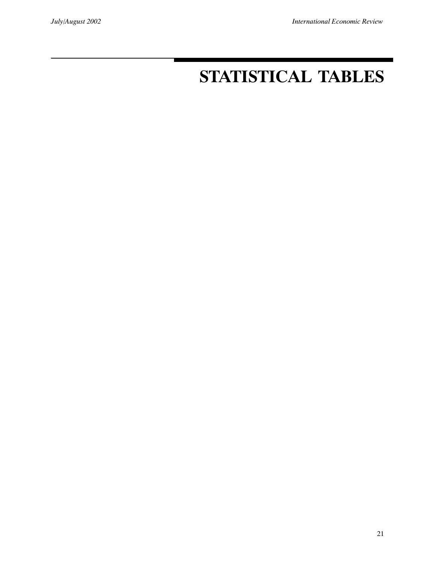# **STATISTICAL TABLES**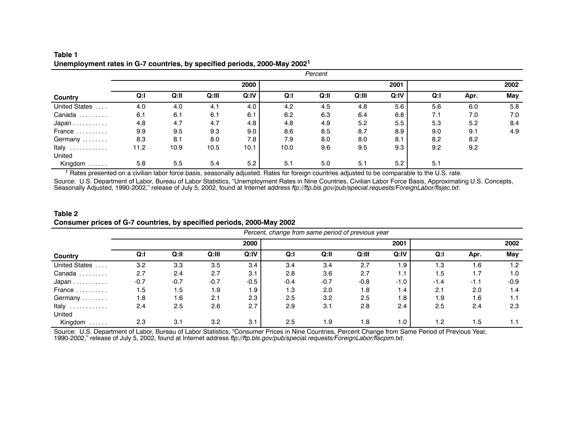|                                  | Percent |      |       |      |      |      |       |               |      |      |      |
|----------------------------------|---------|------|-------|------|------|------|-------|---------------|------|------|------|
|                                  |         |      |       | 2000 |      |      |       | 2001          |      |      | 2002 |
| Country                          | Q: I    | Q:II | Q:III | Q:IV | Q:   | Q:II | Q:III | Q:IV          | Q: I | Apr. | May  |
| <b>United States</b><br>$\cdots$ | 4.0     | 4.0  | 4.1   | 4.0  | 4.2  | 4.5  | 4.8   | 5.6           | 5.6  | 6.0  | 5.8  |
| Canada<br>.                      | 6.1     | 6.1  | 6.1   | 6.1  | 6.2  | 6.3  | 6.4   | 6.8           | 7.1  | 7.0  | 7.0  |
| $Japan \ldots \ldots \ldots$     | 4.8     | 4.7  | 4.7   | 4.8  | 4.8  | 4.9  | 5.2   | $5.5^{\circ}$ | 5.3  | 5.2  | 8.4  |
| France                           | 9.9     | 9.5  | 9.3   | 9.0  | 8.6  | 8.5  | 8.7   | 8.9           | 9.0  | 9.1  | 4.9  |
| Germany                          | 8.3     | 8.1  | 8.0   | 7.8  | 7.9  | 8.0  | 8.0   | 8.1           | 8.2  | 8.2  |      |
| Italy                            | 11.2    | 10.9 | 10.5  | 10.1 | 10.0 | 9.6  | 9.5   | 9.3           | 9.2  | 9.2  |      |
| United                           |         |      |       |      |      |      |       |               |      |      |      |
| Kingdom<br>.                     | 5.8     | 5.5  | 5.4   | 5.2  | 5.1  | 5.0  | 5.1   | 5.2           | 5.1  |      |      |

#### **Table 1Unemployment rates in G-7 countries, by specified periods, 2000-May <sup>2002</sup><sup>1</sup>**

<sup>1</sup> Rates presented on a civilian labor force basis, seasonally adjusted. Rates for foreign countries adjusted to be comparable to the U.S. rate.

Source: U.S. Department of Labor, Bureau of Labor Statistics, "Unemployment Rates in Nine Countries, Civilian Labor Force Basis, Approximating U.S. Concepts, Seasonally Adjusted, 1990-2002," release of July 5, 2002, found at Internet address *ftp://ftp.bls.gov/pub/special.requests/ForeignLabor/flsjec.txt*.

#### **Table 2Consumer prices of G-7 countries, by specified periods, 2000-May 2002**

|                                  |        |        |        |        | Percent, change from same period of previous year |        |        |      |        |        |        |
|----------------------------------|--------|--------|--------|--------|---------------------------------------------------|--------|--------|------|--------|--------|--------|
|                                  |        |        |        | 2000   |                                                   |        |        | 2001 |        |        | 2002   |
| Country                          | Q: I   | Q:II   | Q:III  | Q:IV   | Q: I                                              | Q:II   | Q:III  | Q:IV | Q: I   | Apr.   | May    |
| <b>United States</b><br>$\cdots$ | 3.2    | 3.3    | 3.5    | 3.4    | 3.4                                               | 3.4    | 2.7    | 1.9  | 1.3    | 1.6    | 1.2    |
| Canada<br>.                      | 2.7    | 2.4    | 2.7    | 3.1    | 2.8                                               | 3.6    | 2.7    | 1.1  | 1.5    | 1.7    | 1.0    |
| $Japan \dots \dots \dots$        | $-0.7$ | $-0.7$ | $-0.7$ | $-0.5$ | $-0.4$                                            | $-0.7$ | $-0.8$ | -1.0 | $-1.4$ | $-1.1$ | $-0.9$ |
| France                           | 1.5    | 1.5    | 1.9    | 1.9    | 1.3                                               | 2.0    | 1.8    | 1.4  | 2.1    | 2.0    | 1.4    |
| Germany                          | 1.8    | 1.6    | 2.1    | 2.3    | 2.5                                               | 3.2    | 2.5    | 1.8  | 1.9    | 1.6    | 1.1    |
| Italy<br>.                       | 2.4    | 2.5    | 2.6    | 2.7    | 2.9                                               | 3.1    | 2.8    | 2.4  | 2.5    | 2.4    | 2.3    |
| United                           |        |        |        |        |                                                   |        |        |      |        |        |        |
| Kingdom<br>.                     | 2.3    | 3.1    | 3.2    | 3.1    | 2.5                                               | 1.9    | 1.8    | 1.0  | 1.2    | 1.5    | 1.1    |

Source: U.S. Department of Labor, Bureau of Labor Statistics, "Consumer Prices in Nine Countries, Percent Change from Same Period of Previous Year, 1990-2002," release of July 5, 2002, found at Internet address *ftp://ftp.bls.gov/pub/special.requests/ForeignLabor/flscpim.txt*.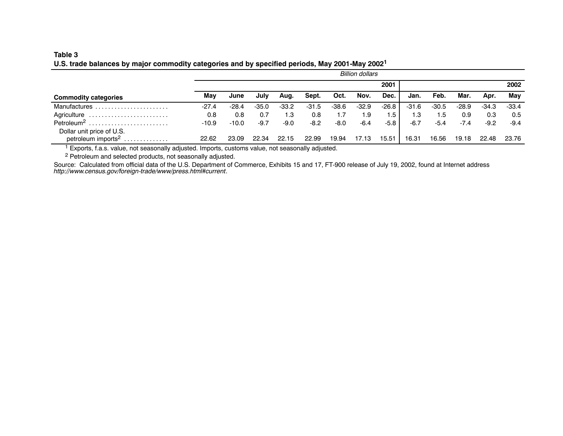#### **Table 3**U.S. trade balances by major commodity categories and by specified periods, May 2001-May 2002<sup>1</sup>

|                                |         | <b>Billion dollars</b> |         |         |         |         |         |         |         |         |         |        |         |
|--------------------------------|---------|------------------------|---------|---------|---------|---------|---------|---------|---------|---------|---------|--------|---------|
|                                |         | 2001                   |         |         |         |         |         |         |         |         | 2002    |        |         |
| <b>Commodity categories</b>    | Mav     | June                   | Julv    | Aug.    | Sept.   | Oct.    | Nov.    | Dec.    | Jan.    | Feb.    | Mar.    | Apr.   | Mav     |
| Manufactures                   | $-27.4$ | $-28.4$                | $-35.0$ | $-33.2$ | $-31.5$ | $-38.6$ | $-32.9$ | $-26.8$ | $-31.6$ | $-30.5$ | $-28.9$ | -34.3  | $-33.4$ |
| Agriculture                    | 0.8     | 0.8                    | 0.7     | 1.3     | 0.8     | 1.7     | 1.9     | 1.5     | 1.3     | 1.5     | 0.9     | 0.3    | 0.5     |
| Petroleum <sup>2</sup>         | $-10.9$ | $-10.0$                | $-9.7$  | $-9.0$  | $-8.2$  | $-8.0$  | $-6.4$  | -5.8    | $-6.7$  | $-5.4$  | $-7.4$  | $-9.2$ | $-9.4$  |
| Dollar unit price of U.S.      |         |                        |         |         |         |         |         |         |         |         |         |        |         |
| petroleum imports <sup>2</sup> | 22.62   | 23.09                  | 22.34   | 22.15   | 22.99   | 19.94   | 17.13   | 15.51   | 16.31   | 16.56   | 19.18   | 22.48  | 23.76   |

<sup>1</sup> Exports, f.a.s. value, not seasonally adjusted. Imports, customs value, not seasonally adjusted.<br><sup>2</sup> Petroleum and selected products, not seasonally adjusted.

Source: Calculated from official data of the U.S. Department of Commerce, Exhibits 15 and 17, FT-900 release of July 19, 2002, found at Internet address *http://www.census.gov/foreign-trade/www/press.html#current*.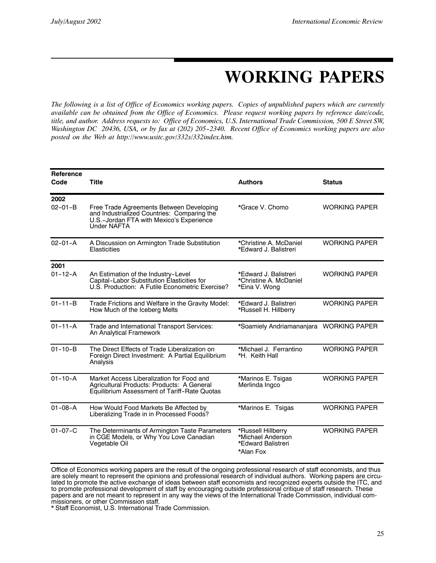# **WORKING PAPERS**

*The following is a list of Office of Economics working papers. Copies of unpublished papers which are currently available can be obtained from the Office of Economics. Please request working papers by reference date/code, title, and author. Address requests to: Office of Economics, U.S. International Trade Commission, 500 E Street SW, Washington DC 20436, USA, or by fax at (202) 205--2340. Recent Office of Economics working papers are also posted on the Web at http://www.usitc.gov/332s/332index.htm.*

| <b>Reference</b><br>Code | <b>Title</b>                                                                                                                                              | <b>Authors</b>                                                             | <b>Status</b>        |
|--------------------------|-----------------------------------------------------------------------------------------------------------------------------------------------------------|----------------------------------------------------------------------------|----------------------|
| 2002<br>$02 - 01 - B$    | Free Trade Agreements Between Developing<br>and Industrialized Countries: Comparing the<br>U.S.-Jordan FTA with Mexico's Experience<br><b>Under NAFTA</b> | *Grace V. Chomo                                                            | <b>WORKING PAPER</b> |
| $02 - 01 - A$            | A Discussion on Armington Trade Substitution<br>Elasticities                                                                                              | *Christine A. McDaniel<br>*Edward J. Balistreri                            | <b>WORKING PAPER</b> |
| 2001                     |                                                                                                                                                           |                                                                            |                      |
| $01 - 12 - A$            | An Estimation of the Industry-Level<br>Capital-Labor Substitution Élasticities for<br>U.S. Production: A Futile Econometric Exercise?                     | *Edward J. Balistreri<br>*Christine A. McDaniel<br>*Eina V. Wong           | <b>WORKING PAPER</b> |
| $01 - 11 - B$            | Trade Frictions and Welfare in the Gravity Model:<br>How Much of the Iceberg Melts                                                                        | *Edward J. Balistreri<br>*Russell H. Hillberry                             | <b>WORKING PAPER</b> |
| $01 - 11 - A$            | Trade and International Transport Services:<br>An Analytical Framework                                                                                    | *Soamiely Andriamananjara WORKING PAPER                                    |                      |
| $01 - 10 - B$            | The Direct Effects of Trade Liberalization on<br>Foreign Direct Investment: A Partial Equilibrium<br>Analysis                                             | *Michael J. Ferrantino<br>*H. Keith Hall                                   | <b>WORKING PAPER</b> |
| $01 - 10 - A$            | Market Access Liberalization for Food and<br>Agricultural Products: Products: A General<br>Equilibrium Assessment of Tariff-Rate Quotas                   | *Marinos E. Tsigas<br>Merlinda Ingco                                       | <b>WORKING PAPER</b> |
| $01 - 08 - A$            | How Would Food Markets Be Affected by<br>Liberalizing Trade in in Processed Foods?                                                                        | *Marinos E. Tsigas                                                         | <b>WORKING PAPER</b> |
| $01 - 07 - C$            | The Determinants of Armington Taste Parameters<br>in CGE Models, or Why You Love Canadian<br>Vegetable Oil                                                | *Russell Hillberry<br>*Michael Anderson<br>*Edward Balistreri<br>*Alan Fox | <b>WORKING PAPER</b> |

Office of Economics working papers are the result of the ongoing professional research of staff economists, and thus are solely meant to represent the opinions and professional research of individual authors. Working papers are circulated to promote the active exchange of ideas between staff economists and recognized experts outside the ITC, and to promote professional development of staff by encouraging outside professional critique of staff research. These papers and are not meant to represent in any way the views of the International Trade Commission, individual commissioners, or other Commission staff.

\* Staff Economist, U.S. International Trade Commission.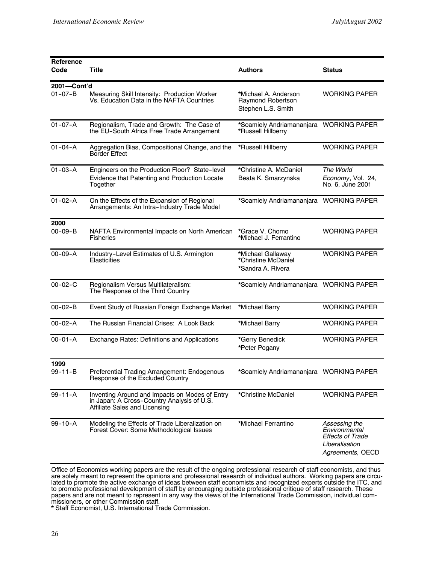| <b>Reference</b> |                                                                                                                               |                                                                        |                                                                                                 |
|------------------|-------------------------------------------------------------------------------------------------------------------------------|------------------------------------------------------------------------|-------------------------------------------------------------------------------------------------|
| Code             | Title                                                                                                                         | <b>Authors</b>                                                         | <b>Status</b>                                                                                   |
| 2001-Cont'd      |                                                                                                                               |                                                                        |                                                                                                 |
| $01 - 07 - B$    | Measuring Skill Intensity: Production Worker<br>Vs. Education Data in the NAFTA Countries                                     | *Michael A. Anderson<br><b>Raymond Robertson</b><br>Stephen L.S. Smith | <b>WORKING PAPER</b>                                                                            |
| $01 - 07 - A$    | Regionalism, Trade and Growth: The Case of<br>the EU-South Africa Free Trade Arrangement                                      | *Soamiely Andriamananjara WORKING PAPER<br>*Russell Hillberry          |                                                                                                 |
| $01 - 04 - A$    | Aggregation Bias, Compositional Change, and the<br>Border Effect                                                              | *Russell Hillberry                                                     | <b>WORKING PAPER</b>                                                                            |
| $01 - 03 - A$    | Engineers on the Production Floor? State-level                                                                                | *Christine A. McDaniel                                                 | The World                                                                                       |
|                  | Evidence that Patenting and Production Locate<br>Together                                                                     | Beata K. Smarzynska                                                    | Economy, Vol. 24,<br>No. 6, June 2001                                                           |
| $01 - 02 - A$    | On the Effects of the Expansion of Regional<br>Arrangements: An Intra-Industry Trade Model                                    | *Soamiely Andriamananjara                                              | <b>WORKING PAPER</b>                                                                            |
| 2000             |                                                                                                                               |                                                                        |                                                                                                 |
| $00 - 09 - B$    | NAFTA Environmental Impacts on North American<br>Fisheries                                                                    | *Grace V. Chomo<br>*Michael J. Ferrantino                              | <b>WORKING PAPER</b>                                                                            |
| $00 - 09 - A$    | Industry-Level Estimates of U.S. Armington<br>Elasticities                                                                    | *Michael Gallaway<br>*Christine McDaniel<br>*Sandra A. Rivera          | <b>WORKING PAPER</b>                                                                            |
| $00 - 02 - C$    | Regionalism Versus Multilateralism:<br>The Response of the Third Country                                                      | *Soamiely Andriamananjara WORKING PAPER                                |                                                                                                 |
| $00 - 02 - B$    | Event Study of Russian Foreign Exchange Market                                                                                | *Michael Barry                                                         | <b>WORKING PAPER</b>                                                                            |
| $00 - 02 - A$    | The Russian Financial Crises: A Look Back                                                                                     | *Michael Barry                                                         | <b>WORKING PAPER</b>                                                                            |
| $00 - 01 - A$    | <b>Exchange Rates: Definitions and Applications</b>                                                                           | *Gerry Benedick<br>*Peter Pogany                                       | <b>WORKING PAPER</b>                                                                            |
| 1999             |                                                                                                                               |                                                                        |                                                                                                 |
| 99-11-B          | Preferential Trading Arrangement: Endogenous<br>Response of the Excluded Country                                              | *Soamiely Andriamananjara WORKING PAPER                                |                                                                                                 |
| $99 - 11 - A$    | Inventing Around and Impacts on Modes of Entry<br>in Japan: A Cross-Country Analysis of U.S.<br>Affiliate Sales and Licensing | *Christine McDaniel                                                    | <b>WORKING PAPER</b>                                                                            |
| $99 - 10 - A$    | Modeling the Effects of Trade Liberalization on<br>Forest Cover: Some Methodological Issues                                   | *Michael Ferrantino                                                    | Assessing the<br>Environmental<br><b>Effects of Trade</b><br>Liberalisation<br>Agreements, OECD |

Office of Economics working papers are the result of the ongoing professional research of staff economists, and thus are solely meant to represent the opinions and professional research of individual authors. Working papers are circulated to promote the active exchange of ideas between staff economists and recognized experts outside the ITC, and to promote professional development of staff by encouraging outside professional critique of staff research. These papers and are not meant to represent in any way the views of the International Trade Commission, individual commissioners, or other Commission staff.

\* Staff Economist, U.S. International Trade Commission.